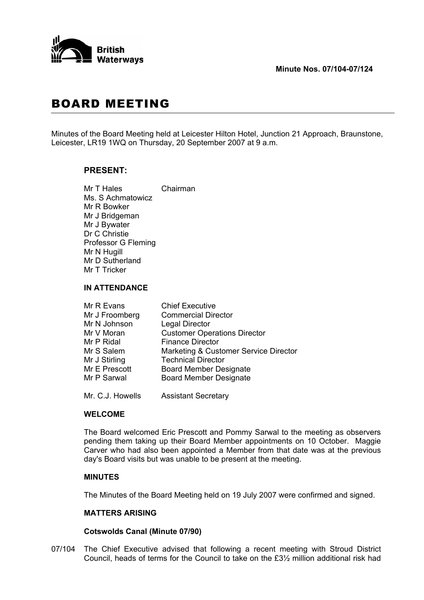

# BOARD MEETING

Minutes of the Board Meeting held at Leicester Hilton Hotel, Junction 21 Approach, Braunstone, Leicester, LR19 1WQ on Thursday, 20 September 2007 at 9 a.m.

# **PRESENT:**

 Mr T Hales Chairman Ms. S Achmatowicz Mr R Bowker Mr J Bridgeman Mr J Bywater Dr C Christie Professor G Fleming Mr N Hugill Mr D Sutherland Mr T Tricker

## **IN ATTENDANCE**

| Mr R Evans     | <b>Chief Executive</b>                |
|----------------|---------------------------------------|
| Mr J Froomberg | <b>Commercial Director</b>            |
| Mr N Johnson   | <b>Legal Director</b>                 |
| Mr V Moran     | <b>Customer Operations Director</b>   |
| Mr P Ridal     | <b>Finance Director</b>               |
| Mr S Salem     | Marketing & Customer Service Director |
| Mr J Stirling  | <b>Technical Director</b>             |
| Mr E Prescott  | <b>Board Member Designate</b>         |
| Mr P Sarwal    | <b>Board Member Designate</b>         |
|                |                                       |

Mr. C.J. Howells Assistant Secretary

# **WELCOME**

 The Board welcomed Eric Prescott and Pommy Sarwal to the meeting as observers pending them taking up their Board Member appointments on 10 October. Maggie Carver who had also been appointed a Member from that date was at the previous day's Board visits but was unable to be present at the meeting.

# **MINUTES**

The Minutes of the Board Meeting held on 19 July 2007 were confirmed and signed.

# **MATTERS ARISING**

# **Cotswolds Canal (Minute 07/90)**

07/104 The Chief Executive advised that following a recent meeting with Stroud District Council, heads of terms for the Council to take on the £3½ million additional risk had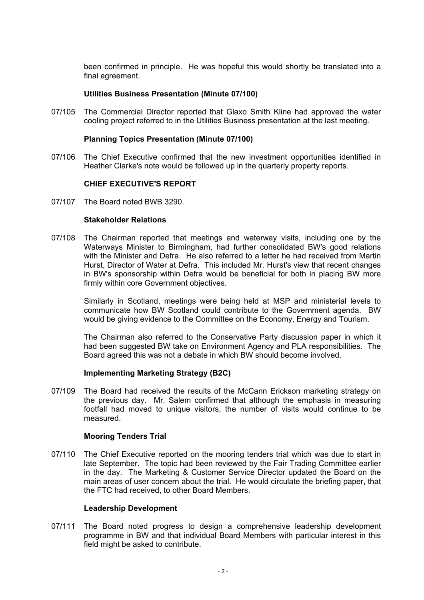been confirmed in principle. He was hopeful this would shortly be translated into a final agreement.

## **Utilities Business Presentation (Minute 07/100)**

07/105 The Commercial Director reported that Glaxo Smith Kline had approved the water cooling project referred to in the Utilities Business presentation at the last meeting.

#### **Planning Topics Presentation (Minute 07/100)**

07/106 The Chief Executive confirmed that the new investment opportunities identified in Heather Clarke's note would be followed up in the quarterly property reports.

## **CHIEF EXECUTIVE'S REPORT**

07/107 The Board noted BWB 3290.

#### **Stakeholder Relations**

07/108 The Chairman reported that meetings and waterway visits, including one by the Waterways Minister to Birmingham, had further consolidated BW's good relations with the Minister and Defra. He also referred to a letter he had received from Martin Hurst, Director of Water at Defra. This included Mr. Hurst's view that recent changes in BW's sponsorship within Defra would be beneficial for both in placing BW more firmly within core Government objectives.

 Similarly in Scotland, meetings were being held at MSP and ministerial levels to communicate how BW Scotland could contribute to the Government agenda. BW would be giving evidence to the Committee on the Economy, Energy and Tourism.

 The Chairman also referred to the Conservative Party discussion paper in which it had been suggested BW take on Environment Agency and PLA responsibilities. The Board agreed this was not a debate in which BW should become involved.

#### **Implementing Marketing Strategy (B2C)**

07/109 The Board had received the results of the McCann Erickson marketing strategy on the previous day. Mr. Salem confirmed that although the emphasis in measuring footfall had moved to unique visitors, the number of visits would continue to be measured.

#### **Mooring Tenders Trial**

07/110 The Chief Executive reported on the mooring tenders trial which was due to start in late September. The topic had been reviewed by the Fair Trading Committee earlier in the day. The Marketing & Customer Service Director updated the Board on the main areas of user concern about the trial. He would circulate the briefing paper, that the FTC had received, to other Board Members.

#### **Leadership Development**

07/111 The Board noted progress to design a comprehensive leadership development programme in BW and that individual Board Members with particular interest in this field might be asked to contribute.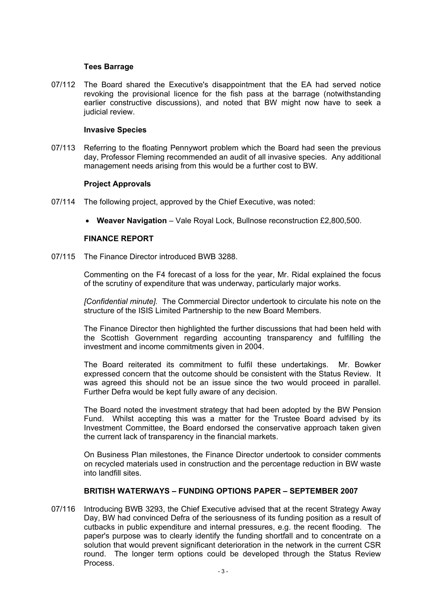## **Tees Barrage**

07/112 The Board shared the Executive's disappointment that the EA had served notice revoking the provisional licence for the fish pass at the barrage (notwithstanding earlier constructive discussions), and noted that BW might now have to seek a judicial review.

## **Invasive Species**

07/113 Referring to the floating Pennywort problem which the Board had seen the previous day, Professor Fleming recommended an audit of all invasive species. Any additional management needs arising from this would be a further cost to BW.

## **Project Approvals**

- 07/114 The following project, approved by the Chief Executive, was noted:
	- **Weaver Navigation** Vale Royal Lock, Bullnose reconstruction £2,800,500.

## **FINANCE REPORT**

07/115 The Finance Director introduced BWB 3288.

 Commenting on the F4 forecast of a loss for the year, Mr. Ridal explained the focus of the scrutiny of expenditure that was underway, particularly major works.

*[Confidential minute].* The Commercial Director undertook to circulate his note on the structure of the ISIS Limited Partnership to the new Board Members.

 The Finance Director then highlighted the further discussions that had been held with the Scottish Government regarding accounting transparency and fulfilling the investment and income commitments given in 2004.

 The Board reiterated its commitment to fulfil these undertakings. Mr. Bowker expressed concern that the outcome should be consistent with the Status Review. It was agreed this should not be an issue since the two would proceed in parallel. Further Defra would be kept fully aware of any decision.

 The Board noted the investment strategy that had been adopted by the BW Pension Fund. Whilst accepting this was a matter for the Trustee Board advised by its Investment Committee, the Board endorsed the conservative approach taken given the current lack of transparency in the financial markets.

 On Business Plan milestones, the Finance Director undertook to consider comments on recycled materials used in construction and the percentage reduction in BW waste into landfill sites.

# **BRITISH WATERWAYS – FUNDING OPTIONS PAPER – SEPTEMBER 2007**

07/116 Introducing BWB 3293, the Chief Executive advised that at the recent Strategy Away Day, BW had convinced Defra of the seriousness of its funding position as a result of cutbacks in public expenditure and internal pressures, e.g. the recent flooding. The paper's purpose was to clearly identify the funding shortfall and to concentrate on a solution that would prevent significant deterioration in the network in the current CSR round. The longer term options could be developed through the Status Review Process.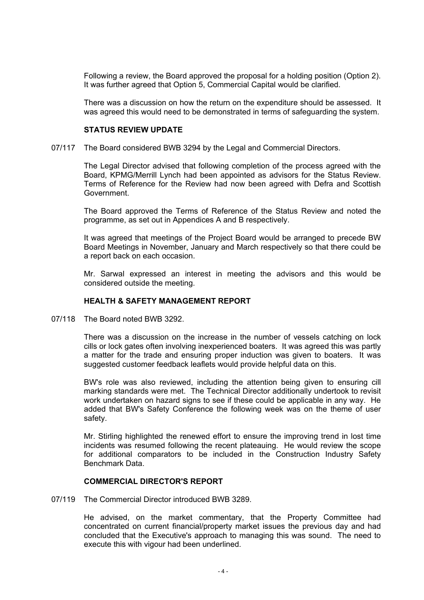Following a review, the Board approved the proposal for a holding position (Option 2). It was further agreed that Option 5, Commercial Capital would be clarified.

 There was a discussion on how the return on the expenditure should be assessed. It was agreed this would need to be demonstrated in terms of safeguarding the system.

#### **STATUS REVIEW UPDATE**

#### 07/117 The Board considered BWB 3294 by the Legal and Commercial Directors.

 The Legal Director advised that following completion of the process agreed with the Board, KPMG/Merrill Lynch had been appointed as advisors for the Status Review. Terms of Reference for the Review had now been agreed with Defra and Scottish Government.

 The Board approved the Terms of Reference of the Status Review and noted the programme, as set out in Appendices A and B respectively.

 It was agreed that meetings of the Project Board would be arranged to precede BW Board Meetings in November, January and March respectively so that there could be a report back on each occasion.

 Mr. Sarwal expressed an interest in meeting the advisors and this would be considered outside the meeting.

#### **HEALTH & SAFETY MANAGEMENT REPORT**

07/118 The Board noted BWB 3292.

 There was a discussion on the increase in the number of vessels catching on lock cills or lock gates often involving inexperienced boaters. It was agreed this was partly a matter for the trade and ensuring proper induction was given to boaters. It was suggested customer feedback leaflets would provide helpful data on this.

 BW's role was also reviewed, including the attention being given to ensuring cill marking standards were met. The Technical Director additionally undertook to revisit work undertaken on hazard signs to see if these could be applicable in any way. He added that BW's Safety Conference the following week was on the theme of user safety.

 Mr. Stirling highlighted the renewed effort to ensure the improving trend in lost time incidents was resumed following the recent plateauing. He would review the scope for additional comparators to be included in the Construction Industry Safety Benchmark Data.

#### **COMMERCIAL DIRECTOR'S REPORT**

07/119 The Commercial Director introduced BWB 3289.

 He advised, on the market commentary, that the Property Committee had concentrated on current financial/property market issues the previous day and had concluded that the Executive's approach to managing this was sound. The need to execute this with vigour had been underlined.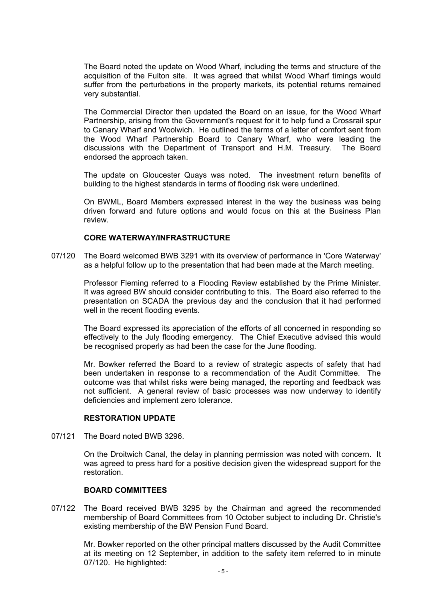The Board noted the update on Wood Wharf, including the terms and structure of the acquisition of the Fulton site. It was agreed that whilst Wood Wharf timings would suffer from the perturbations in the property markets, its potential returns remained very substantial.

 The Commercial Director then updated the Board on an issue, for the Wood Wharf Partnership, arising from the Government's request for it to help fund a Crossrail spur to Canary Wharf and Woolwich. He outlined the terms of a letter of comfort sent from the Wood Wharf Partnership Board to Canary Wharf, who were leading the discussions with the Department of Transport and H.M. Treasury. The Board endorsed the approach taken.

 The update on Gloucester Quays was noted. The investment return benefits of building to the highest standards in terms of flooding risk were underlined.

 On BWML, Board Members expressed interest in the way the business was being driven forward and future options and would focus on this at the Business Plan review.

## **CORE WATERWAY/INFRASTRUCTURE**

07/120 The Board welcomed BWB 3291 with its overview of performance in 'Core Waterway' as a helpful follow up to the presentation that had been made at the March meeting.

 Professor Fleming referred to a Flooding Review established by the Prime Minister. It was agreed BW should consider contributing to this. The Board also referred to the presentation on SCADA the previous day and the conclusion that it had performed well in the recent flooding events.

 The Board expressed its appreciation of the efforts of all concerned in responding so effectively to the July flooding emergency. The Chief Executive advised this would be recognised properly as had been the case for the June flooding.

 Mr. Bowker referred the Board to a review of strategic aspects of safety that had been undertaken in response to a recommendation of the Audit Committee. The outcome was that whilst risks were being managed, the reporting and feedback was not sufficient. A general review of basic processes was now underway to identify deficiencies and implement zero tolerance.

#### **RESTORATION UPDATE**

07/121 The Board noted BWB 3296.

 On the Droitwich Canal, the delay in planning permission was noted with concern. It was agreed to press hard for a positive decision given the widespread support for the restoration.

#### **BOARD COMMITTEES**

07/122 The Board received BWB 3295 by the Chairman and agreed the recommended membership of Board Committees from 10 October subject to including Dr. Christie's existing membership of the BW Pension Fund Board.

 Mr. Bowker reported on the other principal matters discussed by the Audit Committee at its meeting on 12 September, in addition to the safety item referred to in minute 07/120. He highlighted: